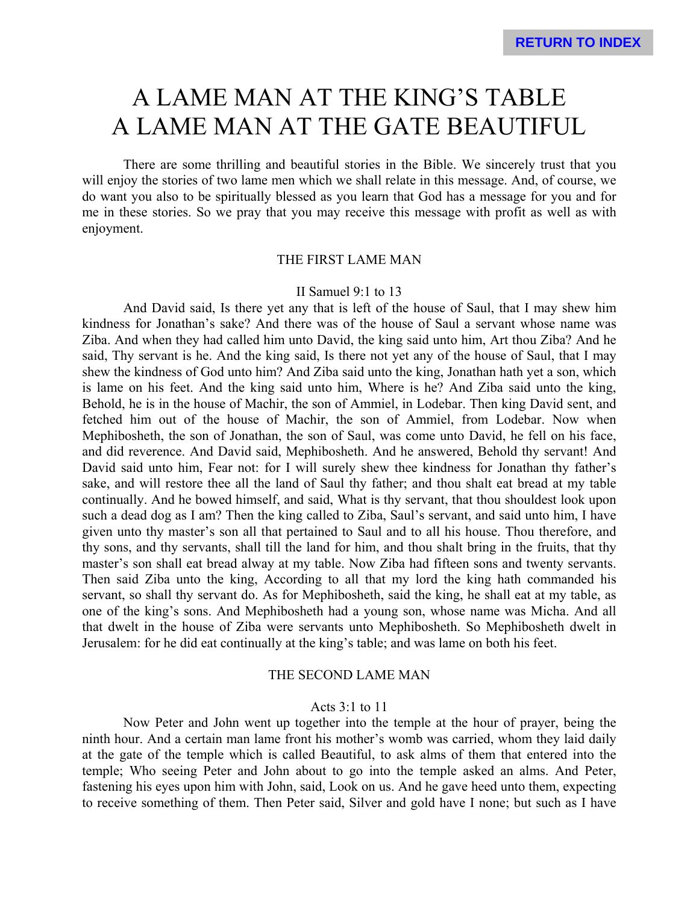# A LAME MAN AT THE KING'S TABLE A LAME MAN AT THE GATE BEAUTIFUL

There are some thrilling and beautiful stories in the Bible. We sincerely trust that you will enjoy the stories of two lame men which we shall relate in this message. And, of course, we do want you also to be spiritually blessed as you learn that God has a message for you and for me in these stories. So we pray that you may receive this message with profit as well as with enjoyment.

## THE FIRST LAME MAN

#### II Samuel 9:1 to 13

And David said, Is there yet any that is left of the house of Saul, that I may shew him kindness for Jonathan's sake? And there was of the house of Saul a servant whose name was Ziba. And when they had called him unto David, the king said unto him, Art thou Ziba? And he said, Thy servant is he. And the king said, Is there not yet any of the house of Saul, that I may shew the kindness of God unto him? And Ziba said unto the king, Jonathan hath yet a son, which is lame on his feet. And the king said unto him, Where is he? And Ziba said unto the king, Behold, he is in the house of Machir, the son of Ammiel, in Lodebar. Then king David sent, and fetched him out of the house of Machir, the son of Ammiel, from Lodebar. Now when Mephibosheth, the son of Jonathan, the son of Saul, was come unto David, he fell on his face, and did reverence. And David said, Mephibosheth. And he answered, Behold thy servant! And David said unto him, Fear not: for I will surely shew thee kindness for Jonathan thy father's sake, and will restore thee all the land of Saul thy father; and thou shalt eat bread at my table continually. And he bowed himself, and said, What is thy servant, that thou shouldest look upon such a dead dog as I am? Then the king called to Ziba, Saul's servant, and said unto him, I have given unto thy master's son all that pertained to Saul and to all his house. Thou therefore, and thy sons, and thy servants, shall till the land for him, and thou shalt bring in the fruits, that thy master's son shall eat bread alway at my table. Now Ziba had fifteen sons and twenty servants. Then said Ziba unto the king, According to all that my lord the king hath commanded his servant, so shall thy servant do. As for Mephibosheth, said the king, he shall eat at my table, as one of the king's sons. And Mephibosheth had a young son, whose name was Micha. And all that dwelt in the house of Ziba were servants unto Mephibosheth. So Mephibosheth dwelt in Jerusalem: for he did eat continually at the king's table; and was lame on both his feet.

#### THE SECOND LAME MAN

#### Acts 3:1 to 11

Now Peter and John went up together into the temple at the hour of prayer, being the ninth hour. And a certain man lame front his mother's womb was carried, whom they laid daily at the gate of the temple which is called Beautiful, to ask alms of them that entered into the temple; Who seeing Peter and John about to go into the temple asked an alms. And Peter, fastening his eyes upon him with John, said, Look on us. And he gave heed unto them, expecting to receive something of them. Then Peter said, Silver and gold have I none; but such as I have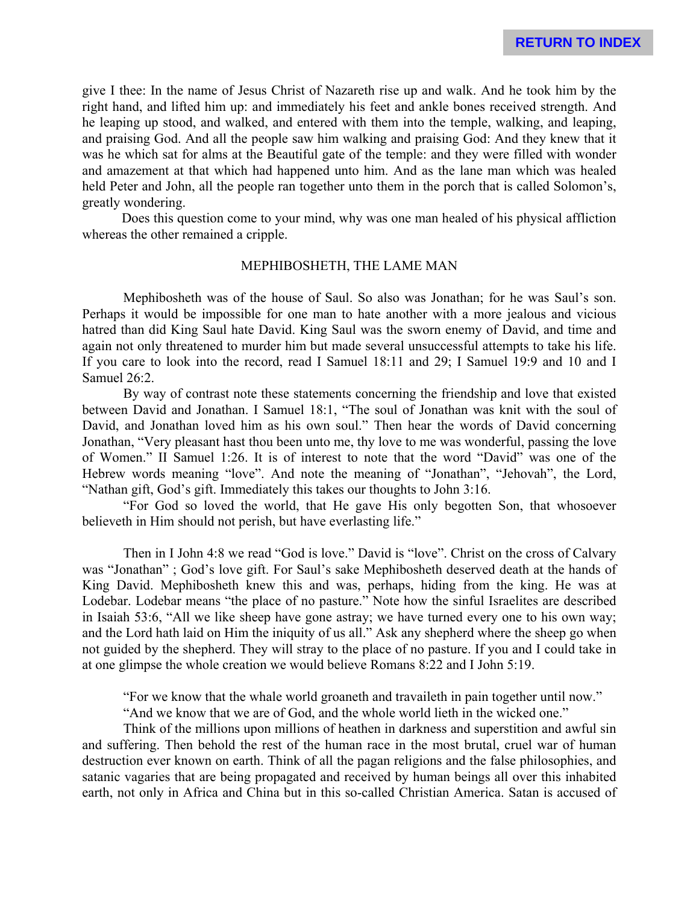give I thee: In the name of Jesus Christ of Nazareth rise up and walk. And he took him by the right hand, and lifted him up: and immediately his feet and ankle bones received strength. And he leaping up stood, and walked, and entered with them into the temple, walking, and leaping, and praising God. And all the people saw him walking and praising God: And they knew that it was he which sat for alms at the Beautiful gate of the temple: and they were filled with wonder and amazement at that which had happened unto him. And as the lane man which was healed held Peter and John, all the people ran together unto them in the porch that is called Solomon's, greatly wondering.

 Does this question come to your mind, why was one man healed of his physical affliction whereas the other remained a cripple.

## MEPHIBOSHETH, THE LAME MAN

Mephibosheth was of the house of Saul. So also was Jonathan; for he was Saul's son. Perhaps it would be impossible for one man to hate another with a more jealous and vicious hatred than did King Saul hate David. King Saul was the sworn enemy of David, and time and again not only threatened to murder him but made several unsuccessful attempts to take his life. If you care to look into the record, read I Samuel 18:11 and 29; I Samuel 19:9 and 10 and I Samuel 26:2.

By way of contrast note these statements concerning the friendship and love that existed between David and Jonathan. I Samuel 18:1, "The soul of Jonathan was knit with the soul of David, and Jonathan loved him as his own soul." Then hear the words of David concerning Jonathan, "Very pleasant hast thou been unto me, thy love to me was wonderful, passing the love of Women." II Samuel 1:26. It is of interest to note that the word "David" was one of the Hebrew words meaning "love". And note the meaning of "Jonathan", "Jehovah", the Lord, "Nathan gift, God's gift. Immediately this takes our thoughts to John 3:16.

"For God so loved the world, that He gave His only begotten Son, that whosoever believeth in Him should not perish, but have everlasting life."

Then in I John 4:8 we read "God is love." David is "love". Christ on the cross of Calvary was "Jonathan" ; God's love gift. For Saul's sake Mephibosheth deserved death at the hands of King David. Mephibosheth knew this and was, perhaps, hiding from the king. He was at Lodebar. Lodebar means "the place of no pasture." Note how the sinful Israelites are described in Isaiah 53:6, "All we like sheep have gone astray; we have turned every one to his own way; and the Lord hath laid on Him the iniquity of us all." Ask any shepherd where the sheep go when not guided by the shepherd. They will stray to the place of no pasture. If you and I could take in at one glimpse the whole creation we would believe Romans 8:22 and I John 5:19.

"For we know that the whale world groaneth and travaileth in pain together until now."

"And we know that we are of God, and the whole world lieth in the wicked one."

Think of the millions upon millions of heathen in darkness and superstition and awful sin and suffering. Then behold the rest of the human race in the most brutal, cruel war of human destruction ever known on earth. Think of all the pagan religions and the false philosophies, and satanic vagaries that are being propagated and received by human beings all over this inhabited earth, not only in Africa and China but in this so-called Christian America. Satan is accused of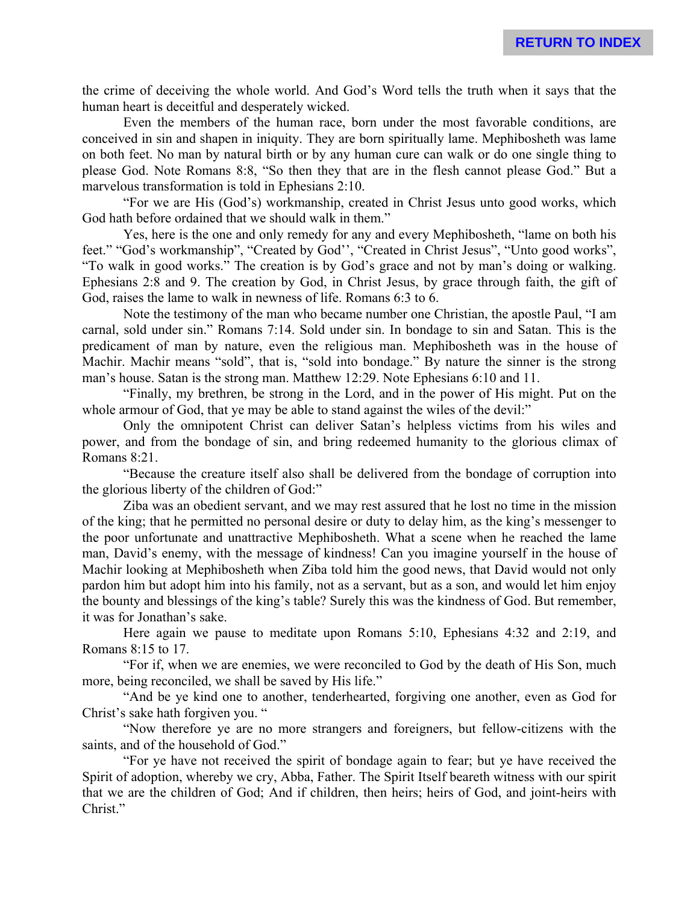the crime of deceiving the whole world. And God's Word tells the truth when it says that the human heart is deceitful and desperately wicked.

Even the members of the human race, born under the most favorable conditions, are conceived in sin and shapen in iniquity. They are born spiritually lame. Mephibosheth was lame on both feet. No man by natural birth or by any human cure can walk or do one single thing to please God. Note Romans 8:8, "So then they that are in the flesh cannot please God." But a marvelous transformation is told in Ephesians 2:10.

"For we are His (God's) workmanship, created in Christ Jesus unto good works, which God hath before ordained that we should walk in them."

Yes, here is the one and only remedy for any and every Mephibosheth, "lame on both his feet." "God's workmanship", "Created by God'', "Created in Christ Jesus", "Unto good works", "To walk in good works." The creation is by God's grace and not by man's doing or walking. Ephesians 2:8 and 9. The creation by God, in Christ Jesus, by grace through faith, the gift of God, raises the lame to walk in newness of life. Romans 6:3 to 6.

Note the testimony of the man who became number one Christian, the apostle Paul, "I am carnal, sold under sin." Romans 7:14. Sold under sin. In bondage to sin and Satan. This is the predicament of man by nature, even the religious man. Mephibosheth was in the house of Machir. Machir means "sold", that is, "sold into bondage." By nature the sinner is the strong man's house. Satan is the strong man. Matthew 12:29. Note Ephesians 6:10 and 11.

"Finally, my brethren, be strong in the Lord, and in the power of His might. Put on the whole armour of God, that ye may be able to stand against the wiles of the devil:"

Only the omnipotent Christ can deliver Satan's helpless victims from his wiles and power, and from the bondage of sin, and bring redeemed humanity to the glorious climax of Romans 8:21.

"Because the creature itself also shall be delivered from the bondage of corruption into the glorious liberty of the children of God:"

Ziba was an obedient servant, and we may rest assured that he lost no time in the mission of the king; that he permitted no personal desire or duty to delay him, as the king's messenger to the poor unfortunate and unattractive Mephibosheth. What a scene when he reached the lame man, David's enemy, with the message of kindness! Can you imagine yourself in the house of Machir looking at Mephibosheth when Ziba told him the good news, that David would not only pardon him but adopt him into his family, not as a servant, but as a son, and would let him enjoy the bounty and blessings of the king's table? Surely this was the kindness of God. But remember, it was for Jonathan's sake.

Here again we pause to meditate upon Romans 5:10, Ephesians 4:32 and 2:19, and Romans 8:15 to 17.

"For if, when we are enemies, we were reconciled to God by the death of His Son, much more, being reconciled, we shall be saved by His life."

"And be ye kind one to another, tenderhearted, forgiving one another, even as God for Christ's sake hath forgiven you. "

"Now therefore ye are no more strangers and foreigners, but fellow-citizens with the saints, and of the household of God."

"For ye have not received the spirit of bondage again to fear; but ye have received the Spirit of adoption, whereby we cry, Abba, Father. The Spirit Itself beareth witness with our spirit that we are the children of God; And if children, then heirs; heirs of God, and joint-heirs with Christ."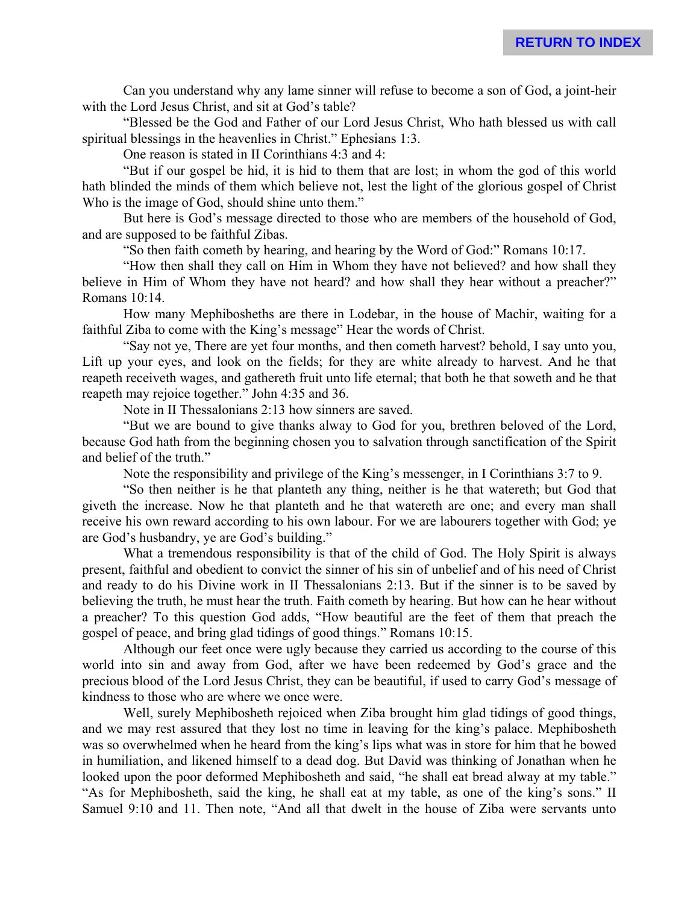Can you understand why any lame sinner will refuse to become a son of God, a joint-heir with the Lord Jesus Christ, and sit at God's table?

"Blessed be the God and Father of our Lord Jesus Christ, Who hath blessed us with call spiritual blessings in the heavenlies in Christ." Ephesians 1:3.

One reason is stated in II Corinthians 4:3 and 4:

"But if our gospel be hid, it is hid to them that are lost; in whom the god of this world hath blinded the minds of them which believe not, lest the light of the glorious gospel of Christ Who is the image of God, should shine unto them."

But here is God's message directed to those who are members of the household of God, and are supposed to be faithful Zibas.

"So then faith cometh by hearing, and hearing by the Word of God:" Romans 10:17.

"How then shall they call on Him in Whom they have not believed? and how shall they believe in Him of Whom they have not heard? and how shall they hear without a preacher?" Romans 10:14.

How many Mephibosheths are there in Lodebar, in the house of Machir, waiting for a faithful Ziba to come with the King's message" Hear the words of Christ.

"Say not ye, There are yet four months, and then cometh harvest? behold, I say unto you, Lift up your eyes, and look on the fields; for they are white already to harvest. And he that reapeth receiveth wages, and gathereth fruit unto life eternal; that both he that soweth and he that reapeth may rejoice together." John 4:35 and 36.

Note in II Thessalonians 2:13 how sinners are saved.

"But we are bound to give thanks alway to God for you, brethren beloved of the Lord, because God hath from the beginning chosen you to salvation through sanctification of the Spirit and belief of the truth."

Note the responsibility and privilege of the King's messenger, in I Corinthians 3:7 to 9.

"So then neither is he that planteth any thing, neither is he that watereth; but God that giveth the increase. Now he that planteth and he that watereth are one; and every man shall receive his own reward according to his own labour. For we are labourers together with God; ye are God's husbandry, ye are God's building."

What a tremendous responsibility is that of the child of God. The Holy Spirit is always present, faithful and obedient to convict the sinner of his sin of unbelief and of his need of Christ and ready to do his Divine work in II Thessalonians 2:13. But if the sinner is to be saved by believing the truth, he must hear the truth. Faith cometh by hearing. But how can he hear without a preacher? To this question God adds, "How beautiful are the feet of them that preach the gospel of peace, and bring glad tidings of good things." Romans 10:15.

Although our feet once were ugly because they carried us according to the course of this world into sin and away from God, after we have been redeemed by God's grace and the precious blood of the Lord Jesus Christ, they can be beautiful, if used to carry God's message of kindness to those who are where we once were.

Well, surely Mephibosheth rejoiced when Ziba brought him glad tidings of good things, and we may rest assured that they lost no time in leaving for the king's palace. Mephibosheth was so overwhelmed when he heard from the king's lips what was in store for him that he bowed in humiliation, and likened himself to a dead dog. But David was thinking of Jonathan when he looked upon the poor deformed Mephibosheth and said, "he shall eat bread alway at my table." "As for Mephibosheth, said the king, he shall eat at my table, as one of the king's sons." II Samuel 9:10 and 11. Then note, "And all that dwelt in the house of Ziba were servants unto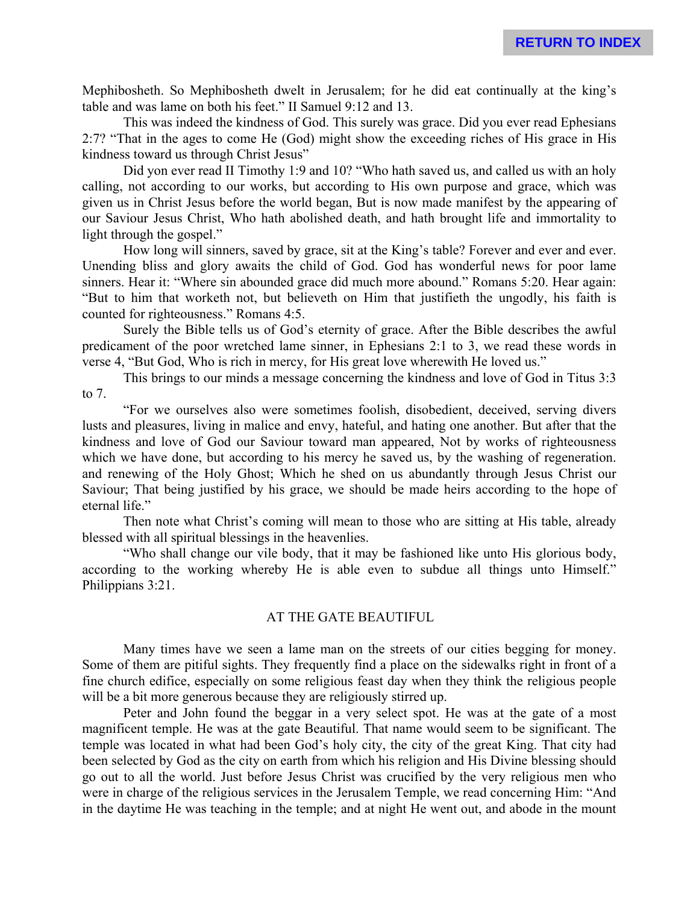Mephibosheth. So Mephibosheth dwelt in Jerusalem; for he did eat continually at the king's table and was lame on both his feet." II Samuel 9:12 and 13.

This was indeed the kindness of God. This surely was grace. Did you ever read Ephesians 2:7? "That in the ages to come He (God) might show the exceeding riches of His grace in His kindness toward us through Christ Jesus"

Did yon ever read II Timothy 1:9 and 10? "Who hath saved us, and called us with an holy calling, not according to our works, but according to His own purpose and grace, which was given us in Christ Jesus before the world began, But is now made manifest by the appearing of our Saviour Jesus Christ, Who hath abolished death, and hath brought life and immortality to light through the gospel."

How long will sinners, saved by grace, sit at the King's table? Forever and ever and ever. Unending bliss and glory awaits the child of God. God has wonderful news for poor lame sinners. Hear it: "Where sin abounded grace did much more abound." Romans 5:20. Hear again: "But to him that worketh not, but believeth on Him that justifieth the ungodly, his faith is counted for righteousness." Romans 4:5.

Surely the Bible tells us of God's eternity of grace. After the Bible describes the awful predicament of the poor wretched lame sinner, in Ephesians 2:1 to 3, we read these words in verse 4, "But God, Who is rich in mercy, for His great love wherewith He loved us."

This brings to our minds a message concerning the kindness and love of God in Titus 3:3 to 7.

"For we ourselves also were sometimes foolish, disobedient, deceived, serving divers lusts and pleasures, living in malice and envy, hateful, and hating one another. But after that the kindness and love of God our Saviour toward man appeared, Not by works of righteousness which we have done, but according to his mercy he saved us, by the washing of regeneration. and renewing of the Holy Ghost; Which he shed on us abundantly through Jesus Christ our Saviour; That being justified by his grace, we should be made heirs according to the hope of eternal life."

Then note what Christ's coming will mean to those who are sitting at His table, already blessed with all spiritual blessings in the heavenlies.

"Who shall change our vile body, that it may be fashioned like unto His glorious body, according to the working whereby He is able even to subdue all things unto Himself." Philippians 3:21.

# AT THE GATE BEAUTIFUL

Many times have we seen a lame man on the streets of our cities begging for money. Some of them are pitiful sights. They frequently find a place on the sidewalks right in front of a fine church edifice, especially on some religious feast day when they think the religious people will be a bit more generous because they are religiously stirred up.

Peter and John found the beggar in a very select spot. He was at the gate of a most magnificent temple. He was at the gate Beautiful. That name would seem to be significant. The temple was located in what had been God's holy city, the city of the great King. That city had been selected by God as the city on earth from which his religion and His Divine blessing should go out to all the world. Just before Jesus Christ was crucified by the very religious men who were in charge of the religious services in the Jerusalem Temple, we read concerning Him: "And in the daytime He was teaching in the temple; and at night He went out, and abode in the mount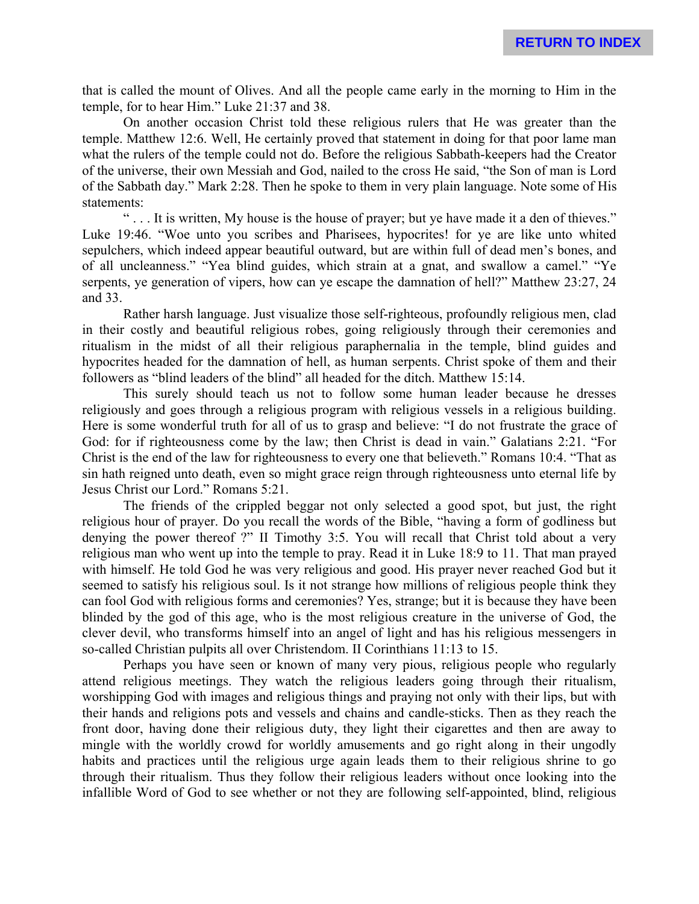that is called the mount of Olives. And all the people came early in the morning to Him in the temple, for to hear Him." Luke 21:37 and 38.

On another occasion Christ told these religious rulers that He was greater than the temple. Matthew 12:6. Well, He certainly proved that statement in doing for that poor lame man what the rulers of the temple could not do. Before the religious Sabbath-keepers had the Creator of the universe, their own Messiah and God, nailed to the cross He said, "the Son of man is Lord of the Sabbath day." Mark 2:28. Then he spoke to them in very plain language. Note some of His statements:

" . . . It is written, My house is the house of prayer; but ye have made it a den of thieves." Luke 19:46. "Woe unto you scribes and Pharisees, hypocrites! for ye are like unto whited sepulchers, which indeed appear beautiful outward, but are within full of dead men's bones, and of all uncleanness." "Yea blind guides, which strain at a gnat, and swallow a camel." "Ye serpents, ye generation of vipers, how can ye escape the damnation of hell?" Matthew 23:27, 24 and 33.

Rather harsh language. Just visualize those self-righteous, profoundly religious men, clad in their costly and beautiful religious robes, going religiously through their ceremonies and ritualism in the midst of all their religious paraphernalia in the temple, blind guides and hypocrites headed for the damnation of hell, as human serpents. Christ spoke of them and their followers as "blind leaders of the blind" all headed for the ditch. Matthew 15:14.

This surely should teach us not to follow some human leader because he dresses religiously and goes through a religious program with religious vessels in a religious building. Here is some wonderful truth for all of us to grasp and believe: "I do not frustrate the grace of God: for if righteousness come by the law; then Christ is dead in vain." Galatians 2:21. "For Christ is the end of the law for righteousness to every one that believeth." Romans 10:4. "That as sin hath reigned unto death, even so might grace reign through righteousness unto eternal life by Jesus Christ our Lord." Romans 5:21.

The friends of the crippled beggar not only selected a good spot, but just, the right religious hour of prayer. Do you recall the words of the Bible, "having a form of godliness but denying the power thereof ?" II Timothy 3:5. You will recall that Christ told about a very religious man who went up into the temple to pray. Read it in Luke 18:9 to 11. That man prayed with himself. He told God he was very religious and good. His prayer never reached God but it seemed to satisfy his religious soul. Is it not strange how millions of religious people think they can fool God with religious forms and ceremonies? Yes, strange; but it is because they have been blinded by the god of this age, who is the most religious creature in the universe of God, the clever devil, who transforms himself into an angel of light and has his religious messengers in so-called Christian pulpits all over Christendom. II Corinthians 11:13 to 15.

Perhaps you have seen or known of many very pious, religious people who regularly attend religious meetings. They watch the religious leaders going through their ritualism, worshipping God with images and religious things and praying not only with their lips, but with their hands and religions pots and vessels and chains and candle-sticks. Then as they reach the front door, having done their religious duty, they light their cigarettes and then are away to mingle with the worldly crowd for worldly amusements and go right along in their ungodly habits and practices until the religious urge again leads them to their religious shrine to go through their ritualism. Thus they follow their religious leaders without once looking into the infallible Word of God to see whether or not they are following self-appointed, blind, religious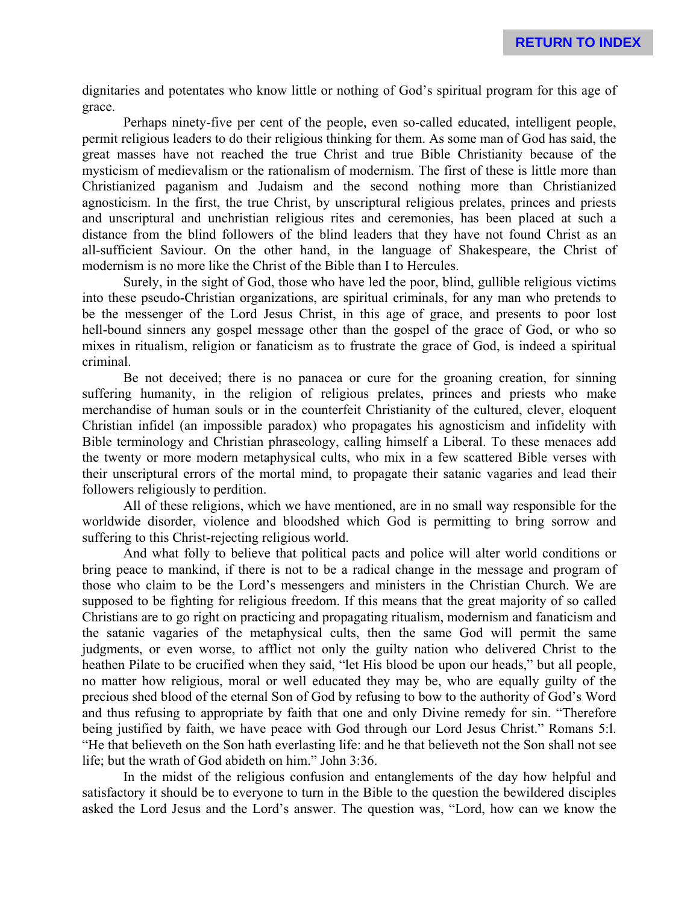dignitaries and potentates who know little or nothing of God's spiritual program for this age of grace.

Perhaps ninety-five per cent of the people, even so-called educated, intelligent people, permit religious leaders to do their religious thinking for them. As some man of God has said, the great masses have not reached the true Christ and true Bible Christianity because of the mysticism of medievalism or the rationalism of modernism. The first of these is little more than Christianized paganism and Judaism and the second nothing more than Christianized agnosticism. In the first, the true Christ, by unscriptural religious prelates, princes and priests and unscriptural and unchristian religious rites and ceremonies, has been placed at such a distance from the blind followers of the blind leaders that they have not found Christ as an all-sufficient Saviour. On the other hand, in the language of Shakespeare, the Christ of modernism is no more like the Christ of the Bible than I to Hercules.

Surely, in the sight of God, those who have led the poor, blind, gullible religious victims into these pseudo-Christian organizations, are spiritual criminals, for any man who pretends to be the messenger of the Lord Jesus Christ, in this age of grace, and presents to poor lost hell-bound sinners any gospel message other than the gospel of the grace of God, or who so mixes in ritualism, religion or fanaticism as to frustrate the grace of God, is indeed a spiritual criminal.

Be not deceived; there is no panacea or cure for the groaning creation, for sinning suffering humanity, in the religion of religious prelates, princes and priests who make merchandise of human souls or in the counterfeit Christianity of the cultured, clever, eloquent Christian infidel (an impossible paradox) who propagates his agnosticism and infidelity with Bible terminology and Christian phraseology, calling himself a Liberal. To these menaces add the twenty or more modern metaphysical cults, who mix in a few scattered Bible verses with their unscriptural errors of the mortal mind, to propagate their satanic vagaries and lead their followers religiously to perdition.

All of these religions, which we have mentioned, are in no small way responsible for the worldwide disorder, violence and bloodshed which God is permitting to bring sorrow and suffering to this Christ-rejecting religious world.

And what folly to believe that political pacts and police will alter world conditions or bring peace to mankind, if there is not to be a radical change in the message and program of those who claim to be the Lord's messengers and ministers in the Christian Church. We are supposed to be fighting for religious freedom. If this means that the great majority of so called Christians are to go right on practicing and propagating ritualism, modernism and fanaticism and the satanic vagaries of the metaphysical cults, then the same God will permit the same judgments, or even worse, to afflict not only the guilty nation who delivered Christ to the heathen Pilate to be crucified when they said, "let His blood be upon our heads," but all people, no matter how religious, moral or well educated they may be, who are equally guilty of the precious shed blood of the eternal Son of God by refusing to bow to the authority of God's Word and thus refusing to appropriate by faith that one and only Divine remedy for sin. "Therefore being justified by faith, we have peace with God through our Lord Jesus Christ." Romans 5:l. "He that believeth on the Son hath everlasting life: and he that believeth not the Son shall not see life; but the wrath of God abideth on him." John 3:36.

In the midst of the religious confusion and entanglements of the day how helpful and satisfactory it should be to everyone to turn in the Bible to the question the bewildered disciples asked the Lord Jesus and the Lord's answer. The question was, "Lord, how can we know the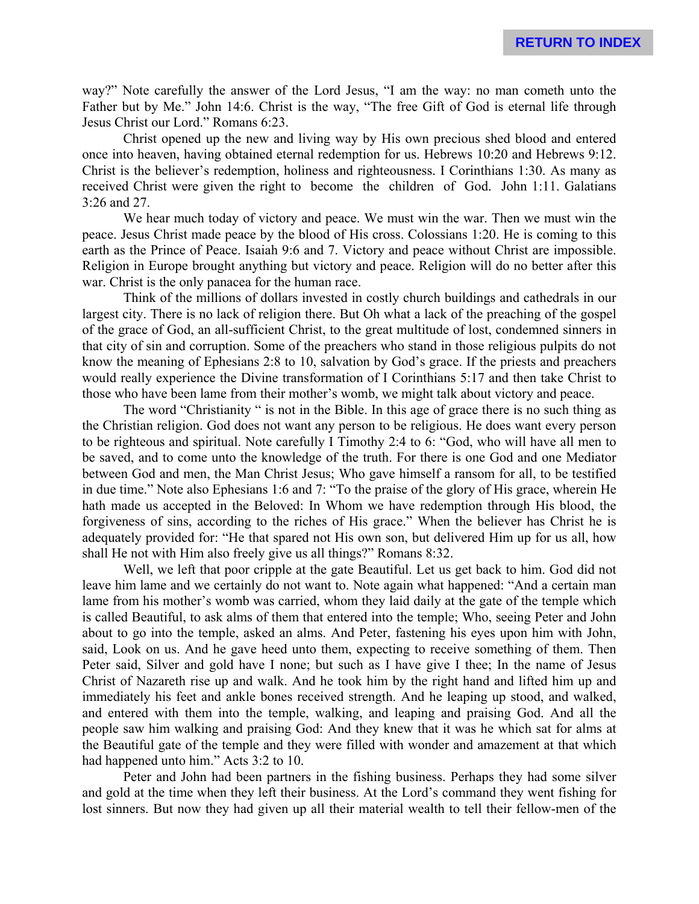way?" Note carefully the answer of the Lord Jesus, "I am the way: no man cometh unto the Father but by Me." John 14:6. Christ is the way, "The free Gift of God is eternal life through Jesus Christ our Lord." Romans 6:23.

Christ opened up the new and living way by His own precious shed blood and entered once into heaven, having obtained eternal redemption for us. Hebrews 10:20 and Hebrews 9:12. Christ is the believer's redemption, holiness and righteousness. I Corinthians 1:30. As many as received Christ were given the right to become the children of God. John 1:11. Galatians 3:26 and 27.

We hear much today of victory and peace. We must win the war. Then we must win the peace. Jesus Christ made peace by the blood of His cross. Colossians 1:20. He is coming to this earth as the Prince of Peace. Isaiah 9:6 and 7. Victory and peace without Christ are impossible. Religion in Europe brought anything but victory and peace. Religion will do no better after this war. Christ is the only panacea for the human race.

Think of the millions of dollars invested in costly church buildings and cathedrals in our largest city. There is no lack of religion there. But Oh what a lack of the preaching of the gospel of the grace of God, an all-sufficient Christ, to the great multitude of lost, condemned sinners in that city of sin and corruption. Some of the preachers who stand in those religious pulpits do not know the meaning of Ephesians 2:8 to 10, salvation by God's grace. If the priests and preachers would really experience the Divine transformation of I Corinthians 5:17 and then take Christ to those who have been lame from their mother's womb, we might talk about victory and peace.

The word "Christianity " is not in the Bible. In this age of grace there is no such thing as the Christian religion. God does not want any person to be religious. He does want every person to be righteous and spiritual. Note carefully I Timothy 2:4 to 6: "God, who will have all men to be saved, and to come unto the knowledge of the truth. For there is one God and one Mediator between God and men, the Man Christ Jesus; Who gave himself a ransom for all, to be testified in due time." Note also Ephesians 1:6 and 7: "To the praise of the glory of His grace, wherein He hath made us accepted in the Beloved: In Whom we have redemption through His blood, the forgiveness of sins, according to the riches of His grace." When the believer has Christ he is adequately provided for: "He that spared not His own son, but delivered Him up for us all, how shall He not with Him also freely give us all things?" Romans 8:32.

Well, we left that poor cripple at the gate Beautiful. Let us get back to him. God did not leave him lame and we certainly do not want to. Note again what happened: "And a certain man lame from his mother's womb was carried, whom they laid daily at the gate of the temple which is called Beautiful, to ask alms of them that entered into the temple; Who, seeing Peter and John about to go into the temple, asked an alms. And Peter, fastening his eyes upon him with John, said, Look on us. And he gave heed unto them, expecting to receive something of them. Then Peter said, Silver and gold have I none; but such as I have give I thee; In the name of Jesus Christ of Nazareth rise up and walk. And he took him by the right hand and lifted him up and immediately his feet and ankle bones received strength. And he leaping up stood, and walked, and entered with them into the temple, walking, and leaping and praising God. And all the people saw him walking and praising God: And they knew that it was he which sat for alms at the Beautiful gate of the temple and they were filled with wonder and amazement at that which had happened unto him." Acts 3:2 to 10.

Peter and John had been partners in the fishing business. Perhaps they had some silver and gold at the time when they left their business. At the Lord's command they went fishing for lost sinners. But now they had given up all their material wealth to tell their fellow-men of the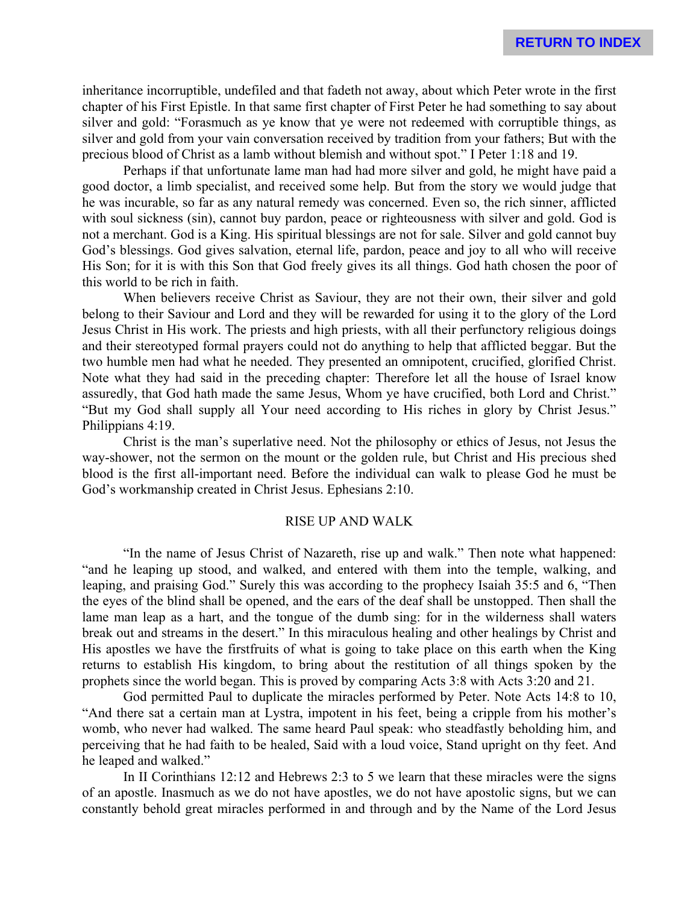inheritance incorruptible, undefiled and that fadeth not away, about which Peter wrote in the first chapter of his First Epistle. In that same first chapter of First Peter he had something to say about silver and gold: "Forasmuch as ye know that ye were not redeemed with corruptible things, as silver and gold from your vain conversation received by tradition from your fathers; But with the precious blood of Christ as a lamb without blemish and without spot." I Peter 1:18 and 19.

Perhaps if that unfortunate lame man had had more silver and gold, he might have paid a good doctor, a limb specialist, and received some help. But from the story we would judge that he was incurable, so far as any natural remedy was concerned. Even so, the rich sinner, afflicted with soul sickness (sin), cannot buy pardon, peace or righteousness with silver and gold. God is not a merchant. God is a King. His spiritual blessings are not for sale. Silver and gold cannot buy God's blessings. God gives salvation, eternal life, pardon, peace and joy to all who will receive His Son; for it is with this Son that God freely gives its all things. God hath chosen the poor of this world to be rich in faith.

When believers receive Christ as Saviour, they are not their own, their silver and gold belong to their Saviour and Lord and they will be rewarded for using it to the glory of the Lord Jesus Christ in His work. The priests and high priests, with all their perfunctory religious doings and their stereotyped formal prayers could not do anything to help that afflicted beggar. But the two humble men had what he needed. They presented an omnipotent, crucified, glorified Christ. Note what they had said in the preceding chapter: Therefore let all the house of Israel know assuredly, that God hath made the same Jesus, Whom ye have crucified, both Lord and Christ." "But my God shall supply all Your need according to His riches in glory by Christ Jesus." Philippians 4:19.

Christ is the man's superlative need. Not the philosophy or ethics of Jesus, not Jesus the way-shower, not the sermon on the mount or the golden rule, but Christ and His precious shed blood is the first all-important need. Before the individual can walk to please God he must be God's workmanship created in Christ Jesus. Ephesians 2:10.

## RISE UP AND WALK

"In the name of Jesus Christ of Nazareth, rise up and walk." Then note what happened: "and he leaping up stood, and walked, and entered with them into the temple, walking, and leaping, and praising God." Surely this was according to the prophecy Isaiah 35:5 and 6, "Then the eyes of the blind shall be opened, and the ears of the deaf shall be unstopped. Then shall the lame man leap as a hart, and the tongue of the dumb sing: for in the wilderness shall waters break out and streams in the desert." In this miraculous healing and other healings by Christ and His apostles we have the firstfruits of what is going to take place on this earth when the King returns to establish His kingdom, to bring about the restitution of all things spoken by the prophets since the world began. This is proved by comparing Acts 3:8 with Acts 3:20 and 21.

God permitted Paul to duplicate the miracles performed by Peter. Note Acts 14:8 to 10, "And there sat a certain man at Lystra, impotent in his feet, being a cripple from his mother's womb, who never had walked. The same heard Paul speak: who steadfastly beholding him, and perceiving that he had faith to be healed, Said with a loud voice, Stand upright on thy feet. And he leaped and walked."

In II Corinthians 12:12 and Hebrews 2:3 to 5 we learn that these miracles were the signs of an apostle. Inasmuch as we do not have apostles, we do not have apostolic signs, but we can constantly behold great miracles performed in and through and by the Name of the Lord Jesus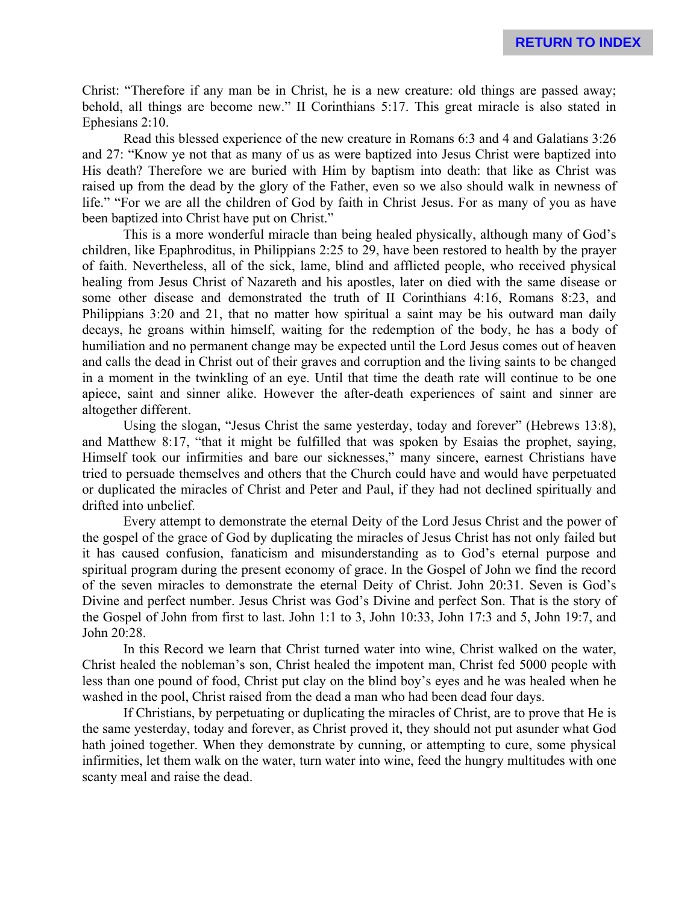Christ: "Therefore if any man be in Christ, he is a new creature: old things are passed away; behold, all things are become new." II Corinthians 5:17. This great miracle is also stated in Ephesians 2:10.

Read this blessed experience of the new creature in Romans 6:3 and 4 and Galatians 3:26 and 27: "Know ye not that as many of us as were baptized into Jesus Christ were baptized into His death? Therefore we are buried with Him by baptism into death: that like as Christ was raised up from the dead by the glory of the Father, even so we also should walk in newness of life." "For we are all the children of God by faith in Christ Jesus. For as many of you as have been baptized into Christ have put on Christ."

This is a more wonderful miracle than being healed physically, although many of God's children, like Epaphroditus, in Philippians 2:25 to 29, have been restored to health by the prayer of faith. Nevertheless, all of the sick, lame, blind and afflicted people, who received physical healing from Jesus Christ of Nazareth and his apostles, later on died with the same disease or some other disease and demonstrated the truth of II Corinthians 4:16, Romans 8:23, and Philippians 3:20 and 21, that no matter how spiritual a saint may be his outward man daily decays, he groans within himself, waiting for the redemption of the body, he has a body of humiliation and no permanent change may be expected until the Lord Jesus comes out of heaven and calls the dead in Christ out of their graves and corruption and the living saints to be changed in a moment in the twinkling of an eye. Until that time the death rate will continue to be one apiece, saint and sinner alike. However the after-death experiences of saint and sinner are altogether different.

Using the slogan, "Jesus Christ the same yesterday, today and forever" (Hebrews 13:8), and Matthew 8:17, "that it might be fulfilled that was spoken by Esaias the prophet, saying, Himself took our infirmities and bare our sicknesses," many sincere, earnest Christians have tried to persuade themselves and others that the Church could have and would have perpetuated or duplicated the miracles of Christ and Peter and Paul, if they had not declined spiritually and drifted into unbelief.

Every attempt to demonstrate the eternal Deity of the Lord Jesus Christ and the power of the gospel of the grace of God by duplicating the miracles of Jesus Christ has not only failed but it has caused confusion, fanaticism and misunderstanding as to God's eternal purpose and spiritual program during the present economy of grace. In the Gospel of John we find the record of the seven miracles to demonstrate the eternal Deity of Christ. John 20:31. Seven is God's Divine and perfect number. Jesus Christ was God's Divine and perfect Son. That is the story of the Gospel of John from first to last. John 1:1 to 3, John 10:33, John 17:3 and 5, John 19:7, and John 20:28.

In this Record we learn that Christ turned water into wine, Christ walked on the water, Christ healed the nobleman's son, Christ healed the impotent man, Christ fed 5000 people with less than one pound of food, Christ put clay on the blind boy's eyes and he was healed when he washed in the pool, Christ raised from the dead a man who had been dead four days.

If Christians, by perpetuating or duplicating the miracles of Christ, are to prove that He is the same yesterday, today and forever, as Christ proved it, they should not put asunder what God hath joined together. When they demonstrate by cunning, or attempting to cure, some physical infirmities, let them walk on the water, turn water into wine, feed the hungry multitudes with one scanty meal and raise the dead.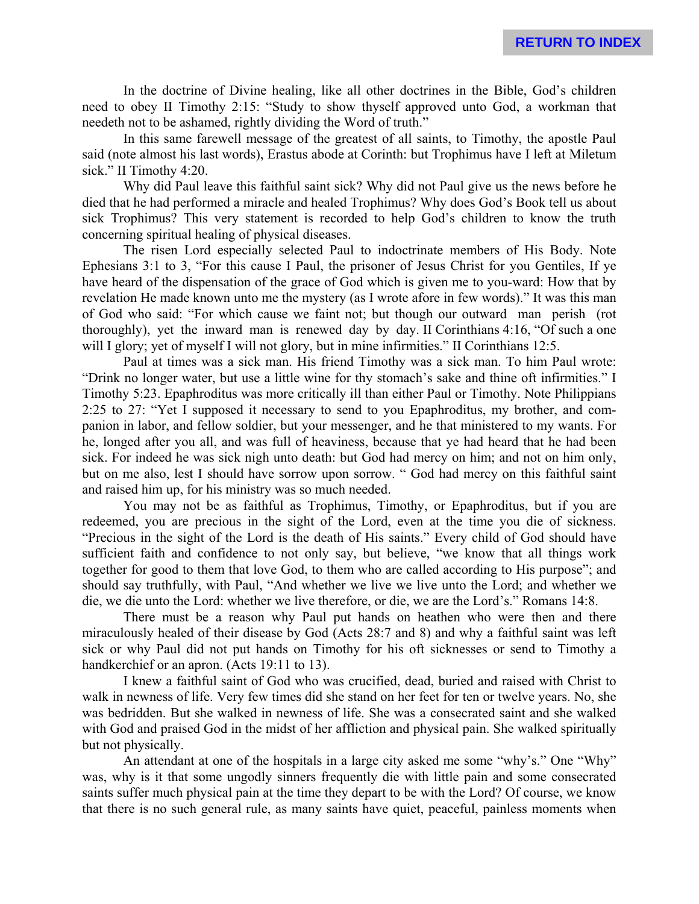**RETURN TO INDEX**

In the doctrine of Divine healing, like all other doctrines in the Bible, God's children need to obey II Timothy 2:15: "Study to show thyself approved unto God, a workman that needeth not to be ashamed, rightly dividing the Word of truth."

In this same farewell message of the greatest of all saints, to Timothy, the apostle Paul said (note almost his last words), Erastus abode at Corinth: but Trophimus have I left at Miletum sick." II Timothy 4:20.

Why did Paul leave this faithful saint sick? Why did not Paul give us the news before he died that he had performed a miracle and healed Trophimus? Why does God's Book tell us about sick Trophimus? This very statement is recorded to help God's children to know the truth concerning spiritual healing of physical diseases.

The risen Lord especially selected Paul to indoctrinate members of His Body. Note Ephesians 3:1 to 3, "For this cause I Paul, the prisoner of Jesus Christ for you Gentiles, If ye have heard of the dispensation of the grace of God which is given me to you-ward: How that by revelation He made known unto me the mystery (as I wrote afore in few words)." It was this man of God who said: "For which cause we faint not; but though our outward man perish (rot thoroughly), yet the inward man is renewed day by day. II Corinthians 4:16, "Of such a one will I glory; yet of myself I will not glory, but in mine infirmities." II Corinthians 12:5.

Paul at times was a sick man. His friend Timothy was a sick man. To him Paul wrote: "Drink no longer water, but use a little wine for thy stomach's sake and thine oft infirmities." I Timothy 5:23. Epaphroditus was more critically ill than either Paul or Timothy. Note Philippians 2:25 to 27: "Yet I supposed it necessary to send to you Epaphroditus, my brother, and companion in labor, and fellow soldier, but your messenger, and he that ministered to my wants. For he, longed after you all, and was full of heaviness, because that ye had heard that he had been sick. For indeed he was sick nigh unto death: but God had mercy on him; and not on him only, but on me also, lest I should have sorrow upon sorrow. " God had mercy on this faithful saint and raised him up, for his ministry was so much needed.

You may not be as faithful as Trophimus, Timothy, or Epaphroditus, but if you are redeemed, you are precious in the sight of the Lord, even at the time you die of sickness. "Precious in the sight of the Lord is the death of His saints." Every child of God should have sufficient faith and confidence to not only say, but believe, "we know that all things work together for good to them that love God, to them who are called according to His purpose"; and should say truthfully, with Paul, "And whether we live we live unto the Lord; and whether we die, we die unto the Lord: whether we live therefore, or die, we are the Lord's." Romans 14:8.

There must be a reason why Paul put hands on heathen who were then and there miraculously healed of their disease by God (Acts 28:7 and 8) and why a faithful saint was left sick or why Paul did not put hands on Timothy for his oft sicknesses or send to Timothy a handkerchief or an apron. (Acts 19:11 to 13).

I knew a faithful saint of God who was crucified, dead, buried and raised with Christ to walk in newness of life. Very few times did she stand on her feet for ten or twelve years. No, she was bedridden. But she walked in newness of life. She was a consecrated saint and she walked with God and praised God in the midst of her affliction and physical pain. She walked spiritually but not physically.

An attendant at one of the hospitals in a large city asked me some "why's." One "Why" was, why is it that some ungodly sinners frequently die with little pain and some consecrated saints suffer much physical pain at the time they depart to be with the Lord? Of course, we know that there is no such general rule, as many saints have quiet, peaceful, painless moments when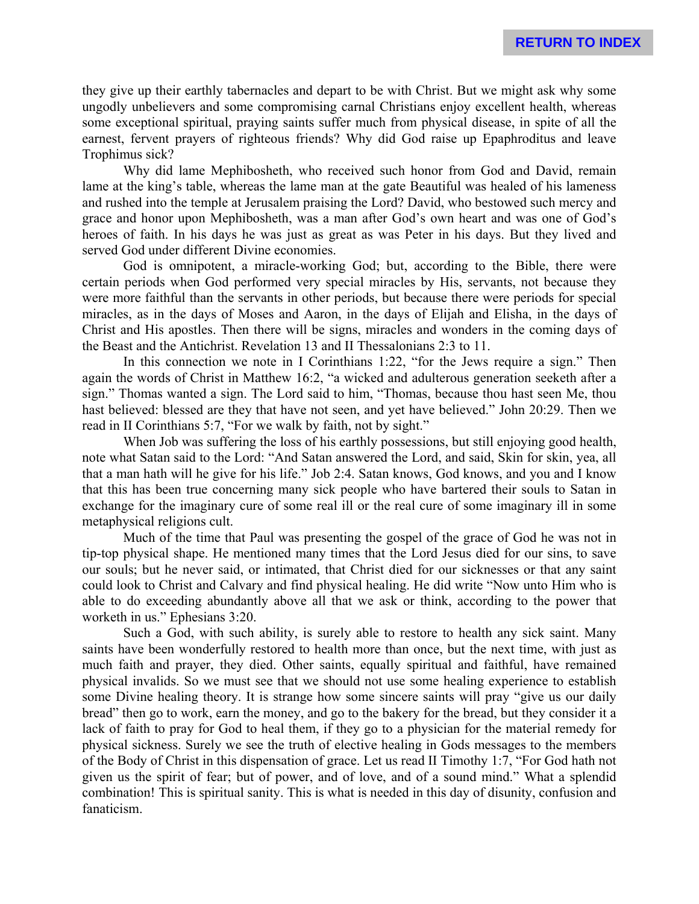they give up their earthly tabernacles and depart to be with Christ. But we might ask why some ungodly unbelievers and some compromising carnal Christians enjoy excellent health, whereas some exceptional spiritual, praying saints suffer much from physical disease, in spite of all the earnest, fervent prayers of righteous friends? Why did God raise up Epaphroditus and leave Trophimus sick?

Why did lame Mephibosheth, who received such honor from God and David, remain lame at the king's table, whereas the lame man at the gate Beautiful was healed of his lameness and rushed into the temple at Jerusalem praising the Lord? David, who bestowed such mercy and grace and honor upon Mephibosheth, was a man after God's own heart and was one of God's heroes of faith. In his days he was just as great as was Peter in his days. But they lived and served God under different Divine economies.

God is omnipotent, a miracle-working God; but, according to the Bible, there were certain periods when God performed very special miracles by His, servants, not because they were more faithful than the servants in other periods, but because there were periods for special miracles, as in the days of Moses and Aaron, in the days of Elijah and Elisha, in the days of Christ and His apostles. Then there will be signs, miracles and wonders in the coming days of the Beast and the Antichrist. Revelation 13 and II Thessalonians 2:3 to 11.

In this connection we note in I Corinthians 1:22, "for the Jews require a sign." Then again the words of Christ in Matthew 16:2, "a wicked and adulterous generation seeketh after a sign." Thomas wanted a sign. The Lord said to him, "Thomas, because thou hast seen Me, thou hast believed: blessed are they that have not seen, and yet have believed." John 20:29. Then we read in II Corinthians 5:7, "For we walk by faith, not by sight."

When Job was suffering the loss of his earthly possessions, but still enjoying good health, note what Satan said to the Lord: "And Satan answered the Lord, and said, Skin for skin, yea, all that a man hath will he give for his life." Job 2:4. Satan knows, God knows, and you and I know that this has been true concerning many sick people who have bartered their souls to Satan in exchange for the imaginary cure of some real ill or the real cure of some imaginary ill in some metaphysical religions cult.

Much of the time that Paul was presenting the gospel of the grace of God he was not in tip-top physical shape. He mentioned many times that the Lord Jesus died for our sins, to save our souls; but he never said, or intimated, that Christ died for our sicknesses or that any saint could look to Christ and Calvary and find physical healing. He did write "Now unto Him who is able to do exceeding abundantly above all that we ask or think, according to the power that worketh in us." Ephesians 3:20.

Such a God, with such ability, is surely able to restore to health any sick saint. Many saints have been wonderfully restored to health more than once, but the next time, with just as much faith and prayer, they died. Other saints, equally spiritual and faithful, have remained physical invalids. So we must see that we should not use some healing experience to establish some Divine healing theory. It is strange how some sincere saints will pray "give us our daily bread" then go to work, earn the money, and go to the bakery for the bread, but they consider it a lack of faith to pray for God to heal them, if they go to a physician for the material remedy for physical sickness. Surely we see the truth of elective healing in Gods messages to the members of the Body of Christ in this dispensation of grace. Let us read II Timothy 1:7, "For God hath not given us the spirit of fear; but of power, and of love, and of a sound mind." What a splendid combination! This is spiritual sanity. This is what is needed in this day of disunity, confusion and fanaticism.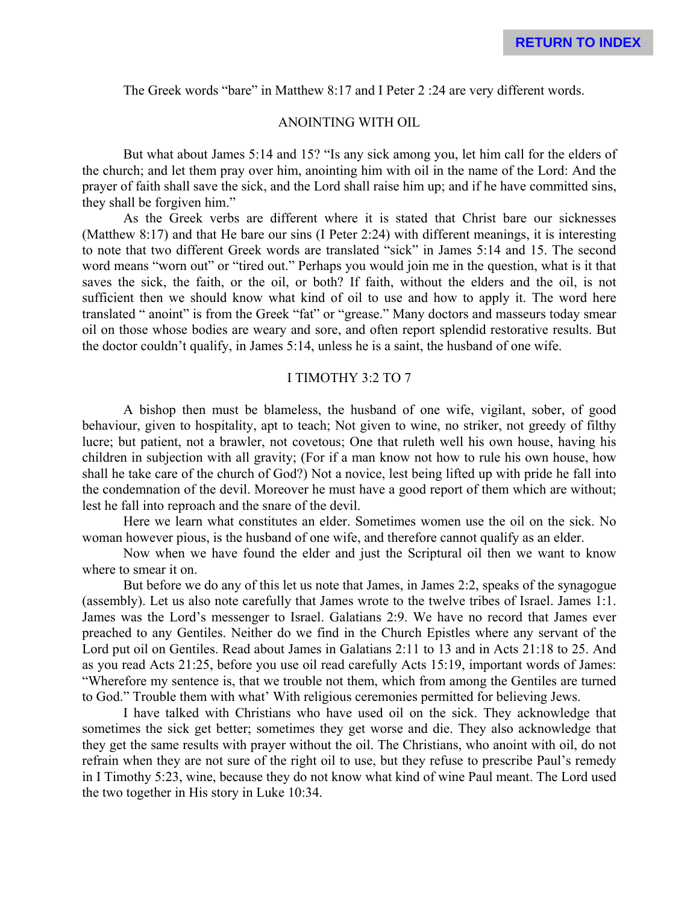The Greek words "bare" in Matthew 8:17 and I Peter 2 :24 are very different words.

# ANOINTING WITH OIL

But what about James 5:14 and 15? "Is any sick among you, let him call for the elders of the church; and let them pray over him, anointing him with oil in the name of the Lord: And the prayer of faith shall save the sick, and the Lord shall raise him up; and if he have committed sins, they shall be forgiven him."

As the Greek verbs are different where it is stated that Christ bare our sicknesses (Matthew 8:17) and that He bare our sins (I Peter 2:24) with different meanings, it is interesting to note that two different Greek words are translated "sick" in James 5:14 and 15. The second word means "worn out" or "tired out." Perhaps you would join me in the question, what is it that saves the sick, the faith, or the oil, or both? If faith, without the elders and the oil, is not sufficient then we should know what kind of oil to use and how to apply it. The word here translated " anoint" is from the Greek "fat" or "grease." Many doctors and masseurs today smear oil on those whose bodies are weary and sore, and often report splendid restorative results. But the doctor couldn't qualify, in James 5:14, unless he is a saint, the husband of one wife.

## I TIMOTHY 3:2 TO 7

A bishop then must be blameless, the husband of one wife, vigilant, sober, of good behaviour, given to hospitality, apt to teach; Not given to wine, no striker, not greedy of filthy lucre; but patient, not a brawler, not covetous; One that ruleth well his own house, having his children in subjection with all gravity; (For if a man know not how to rule his own house, how shall he take care of the church of God?) Not a novice, lest being lifted up with pride he fall into the condemnation of the devil. Moreover he must have a good report of them which are without; lest he fall into reproach and the snare of the devil.

Here we learn what constitutes an elder. Sometimes women use the oil on the sick. No woman however pious, is the husband of one wife, and therefore cannot qualify as an elder.

Now when we have found the elder and just the Scriptural oil then we want to know where to smear it on.

But before we do any of this let us note that James, in James 2:2, speaks of the synagogue (assembly). Let us also note carefully that James wrote to the twelve tribes of Israel. James 1:1. James was the Lord's messenger to Israel. Galatians 2:9. We have no record that James ever preached to any Gentiles. Neither do we find in the Church Epistles where any servant of the Lord put oil on Gentiles. Read about James in Galatians 2:11 to 13 and in Acts 21:18 to 25. And as you read Acts 21:25, before you use oil read carefully Acts 15:19, important words of James: "Wherefore my sentence is, that we trouble not them, which from among the Gentiles are turned to God." Trouble them with what' With religious ceremonies permitted for believing Jews.

I have talked with Christians who have used oil on the sick. They acknowledge that sometimes the sick get better; sometimes they get worse and die. They also acknowledge that they get the same results with prayer without the oil. The Christians, who anoint with oil, do not refrain when they are not sure of the right oil to use, but they refuse to prescribe Paul's remedy in I Timothy 5:23, wine, because they do not know what kind of wine Paul meant. The Lord used the two together in His story in Luke 10:34.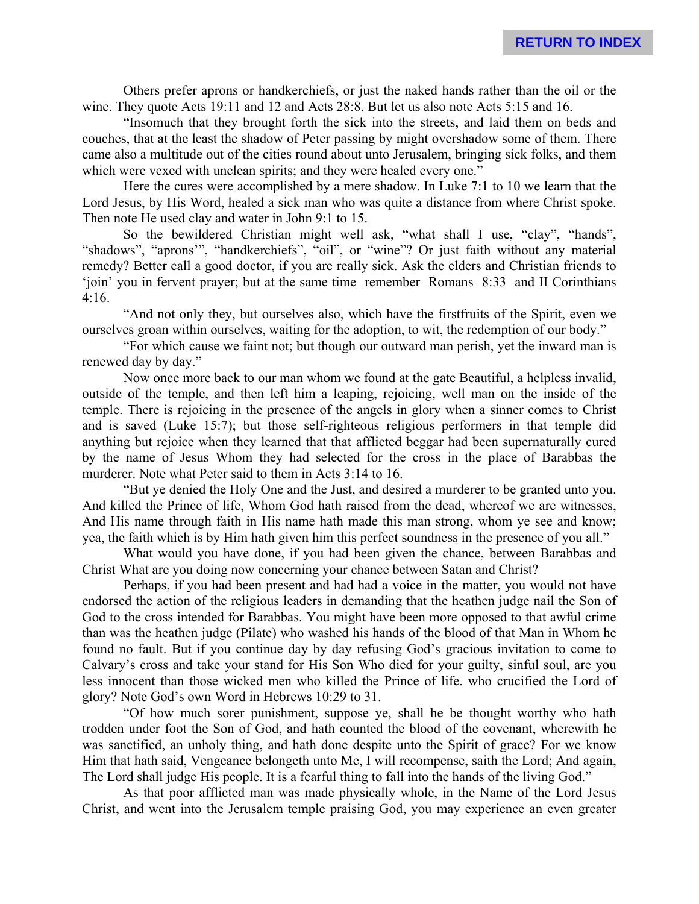Others prefer aprons or handkerchiefs, or just the naked hands rather than the oil or the wine. They quote Acts 19:11 and 12 and Acts 28:8. But let us also note Acts 5:15 and 16.

"Insomuch that they brought forth the sick into the streets, and laid them on beds and couches, that at the least the shadow of Peter passing by might overshadow some of them. There came also a multitude out of the cities round about unto Jerusalem, bringing sick folks, and them which were vexed with unclean spirits; and they were healed every one."

Here the cures were accomplished by a mere shadow. In Luke 7:1 to 10 we learn that the Lord Jesus, by His Word, healed a sick man who was quite a distance from where Christ spoke. Then note He used clay and water in John 9:1 to 15.

So the bewildered Christian might well ask, "what shall I use, "clay", "hands", "shadows", "aprons"", "handkerchiefs", "oil", or "wine"? Or just faith without any material remedy? Better call a good doctor, if you are really sick. Ask the elders and Christian friends to 'join' you in fervent prayer; but at the same time remember Romans 8:33 and II Corinthians 4:16.

"And not only they, but ourselves also, which have the firstfruits of the Spirit, even we ourselves groan within ourselves, waiting for the adoption, to wit, the redemption of our body."

"For which cause we faint not; but though our outward man perish, yet the inward man is renewed day by day."

Now once more back to our man whom we found at the gate Beautiful, a helpless invalid, outside of the temple, and then left him a leaping, rejoicing, well man on the inside of the temple. There is rejoicing in the presence of the angels in glory when a sinner comes to Christ and is saved (Luke 15:7); but those self-righteous religious performers in that temple did anything but rejoice when they learned that that afflicted beggar had been supernaturally cured by the name of Jesus Whom they had selected for the cross in the place of Barabbas the murderer. Note what Peter said to them in Acts 3:14 to 16.

"But ye denied the Holy One and the Just, and desired a murderer to be granted unto you. And killed the Prince of life, Whom God hath raised from the dead, whereof we are witnesses, And His name through faith in His name hath made this man strong, whom ye see and know; yea, the faith which is by Him hath given him this perfect soundness in the presence of you all."

What would you have done, if you had been given the chance, between Barabbas and Christ What are you doing now concerning your chance between Satan and Christ?

Perhaps, if you had been present and had had a voice in the matter, you would not have endorsed the action of the religious leaders in demanding that the heathen judge nail the Son of God to the cross intended for Barabbas. You might have been more opposed to that awful crime than was the heathen judge (Pilate) who washed his hands of the blood of that Man in Whom he found no fault. But if you continue day by day refusing God's gracious invitation to come to Calvary's cross and take your stand for His Son Who died for your guilty, sinful soul, are you less innocent than those wicked men who killed the Prince of life. who crucified the Lord of glory? Note God's own Word in Hebrews 10:29 to 31.

"Of how much sorer punishment, suppose ye, shall he be thought worthy who hath trodden under foot the Son of God, and hath counted the blood of the covenant, wherewith he was sanctified, an unholy thing, and hath done despite unto the Spirit of grace? For we know Him that hath said, Vengeance belongeth unto Me, I will recompense, saith the Lord; And again, The Lord shall judge His people. It is a fearful thing to fall into the hands of the living God."

As that poor afflicted man was made physically whole, in the Name of the Lord Jesus Christ, and went into the Jerusalem temple praising God, you may experience an even greater